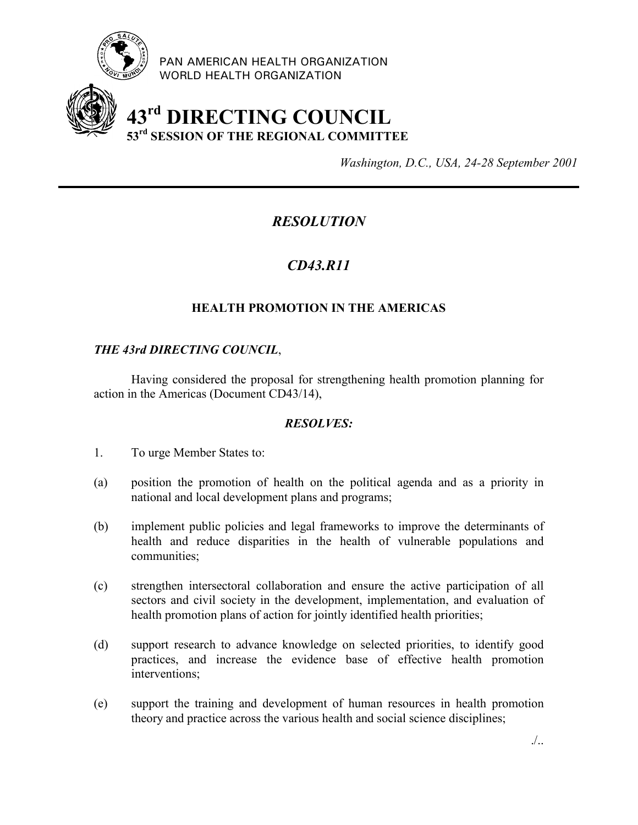

PAN AMERICAN HEALTH ORGANIZATION WORLD HEALTH ORGANIZATION

# **43rd DIRECTING COUNCIL 53rd SESSION OF THE REGIONAL COMMITTEE**

*Washington, D.C., USA, 24-28 September 2001*

## *RESOLUTION*

## *CD43.R11*

### **HEALTH PROMOTION IN THE AMERICAS**

#### *THE 43rd DIRECTING COUNCIL*,

Having considered the proposal for strengthening health promotion planning for action in the Americas (Document CD43/14),

#### *RESOLVES:*

- 1. To urge Member States to:
- (a) position the promotion of health on the political agenda and as a priority in national and local development plans and programs;
- (b) implement public policies and legal frameworks to improve the determinants of health and reduce disparities in the health of vulnerable populations and communities;
- (c) strengthen intersectoral collaboration and ensure the active participation of all sectors and civil society in the development, implementation, and evaluation of health promotion plans of action for jointly identified health priorities;
- (d) support research to advance knowledge on selected priorities, to identify good practices, and increase the evidence base of effective health promotion interventions;
- (e) support the training and development of human resources in health promotion theory and practice across the various health and social science disciplines;